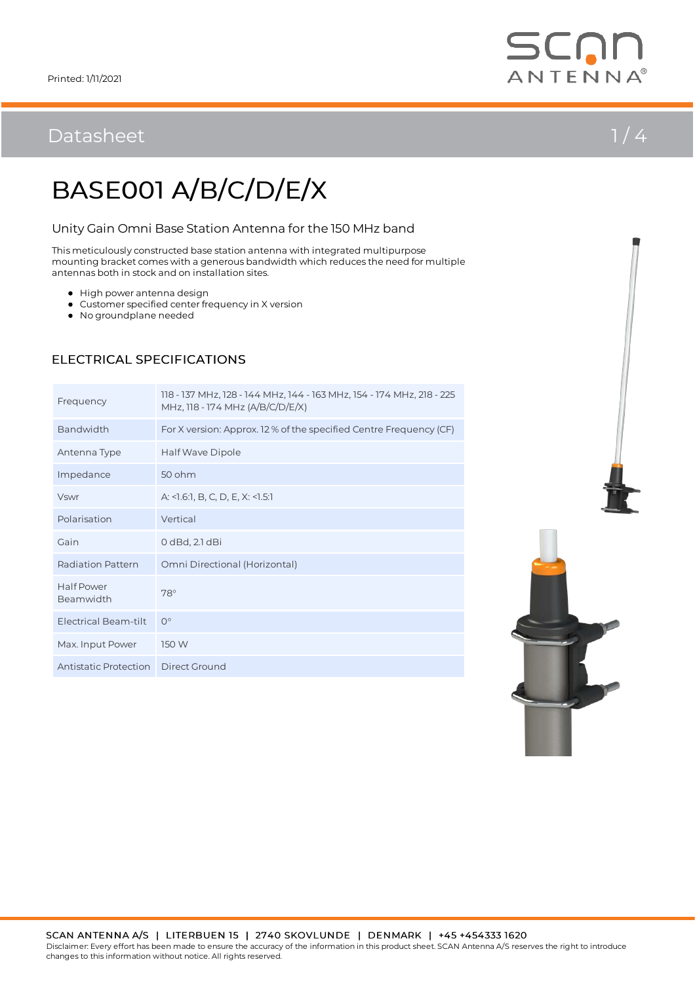## Datasheet  $1/4$



# BASE001 A/B/C/D/E/X

### Unity Gain Omni Base Station Antenna for the 150 MHz band

This meticulously constructed base station antenna with integrated multipurpose mounting bracket comes with a generous bandwidth which reduces the need for multiple antennas both in stock and on installation sites.

- $\bullet$  High power antenna design
- Customer specified center frequency in X version
- No groundplane needed

## Frequency 118 - 137 MHz, 128 - 144 MHz, 144 - 163 MHz, 154 - 174 MHz, 218 - 225 MHz, 118 - 174 MHz (A/B/C/D/E/X) Bandwidth For X version: Approx. 12 % of the specified Centre Frequency (CF) Antenna Type Half Wave Dipole Impedance 50 ohm Vswr A: <1.6:1, B, C, D, E, X: <1.5:1 Polarisation Vertical Gain 0 dBd, 2.1 dBi Radiation Pattern Omni Directional (Horizontal) Half Power nail Power<br>Beamwidth 78° Electrical Beam-tilt 0° Max. Input Power 150 W Antistatic Protection Direct Ground

### ELECTRICAL SPECIFICATIONS

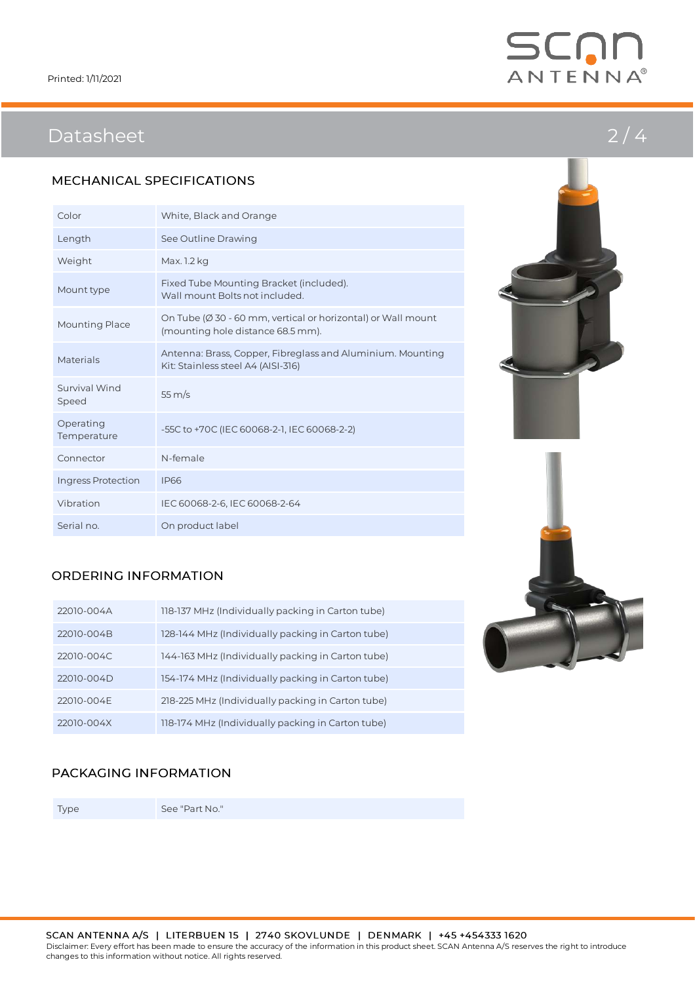

## Datasheet 2/4

### MECHANICAL SPECIFICATIONS

| Color                    | White, Black and Orange                                                                                      |
|--------------------------|--------------------------------------------------------------------------------------------------------------|
| Length                   | See Outline Drawing                                                                                          |
| Weight                   | Max. 1.2 kg                                                                                                  |
| Mount type               | Fixed Tube Mounting Bracket (included).<br>Wall mount Bolts not included.                                    |
| Mounting Place           | On Tube ( $\emptyset$ 30 - 60 mm, vertical or horizontal) or Wall mount<br>(mounting hole distance 68.5 mm). |
| Materials                | Antenna: Brass, Copper, Fibreglass and Aluminium. Mounting<br>Kit: Stainless steel A4 (AISI-316)             |
| Survival Wind<br>Speed   | $55 \,\mathrm{m/s}$                                                                                          |
| Operating<br>Temperature | -55C to +70C (IEC 60068-2-1, IEC 60068-2-2)                                                                  |
| Connector                | N-female                                                                                                     |
| Ingress Protection       | <b>IP66</b>                                                                                                  |
| Vibration                | IEC 60068-2-6, IEC 60068-2-64                                                                                |
| Serial no.               | On product label                                                                                             |





### ORDERING INFORMATION

| 22010-004A | 118-137 MHz (Individually packing in Carton tube) |
|------------|---------------------------------------------------|
| 22010-004B | 128-144 MHz (Individually packing in Carton tube) |
| 22010-004C | 144-163 MHz (Individually packing in Carton tube) |
| 22010-004D | 154-174 MHz (Individually packing in Carton tube) |
| 22010-004E | 218-225 MHz (Individually packing in Carton tube) |
| 22010-004X | 118-174 MHz (Individually packing in Carton tube) |

### PACKAGING INFORMATION

Type See "Part No."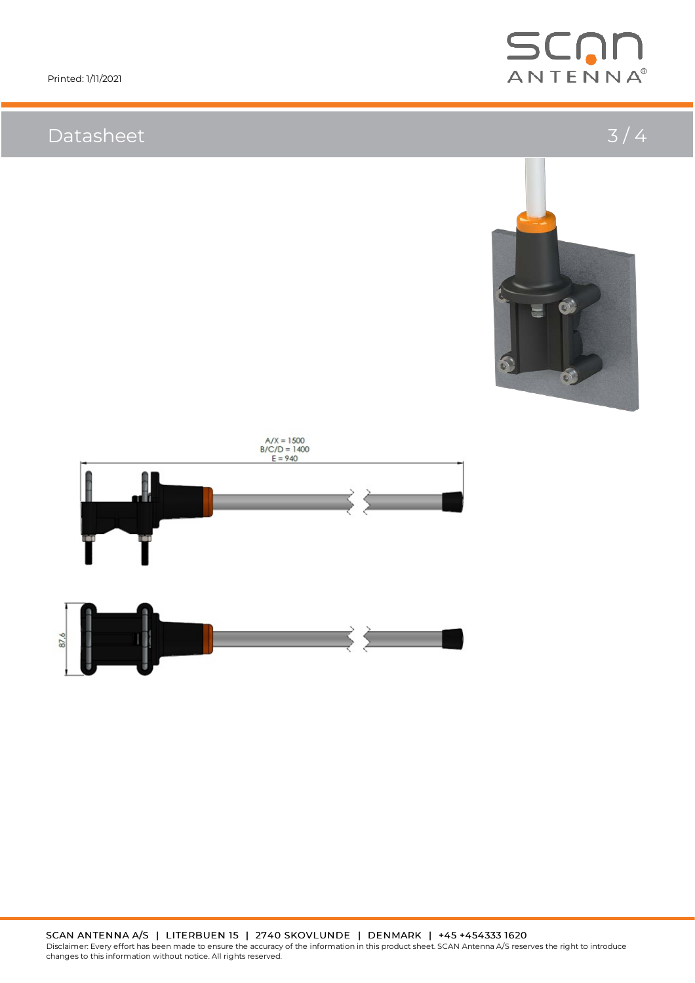## Datasheet 3/4